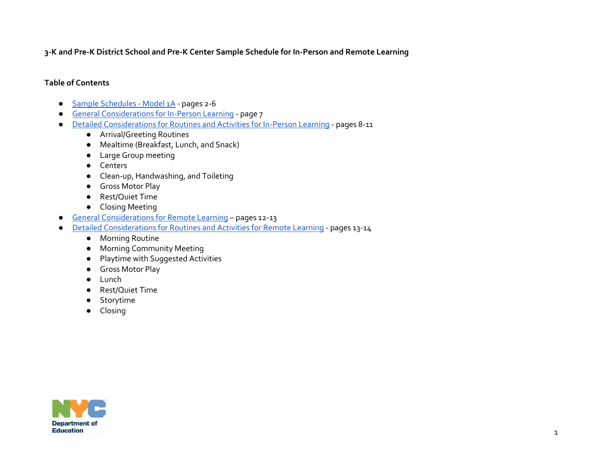**3-K and Pre-K District School and Pre-K Center Sample Schedule for In-Person and Remote Learning** 

#### **Table of Contents**

- [Sample Schedules -](#page-1-0) Model 1A pages 2-6
- [General Considerations for In-Person Learning](#page-3-0) page 7
- [Detailed Considerations for Routines and Activities for In-Person Learning](#page-4-0) pages 8-11
	- Arrival/Greeting Routines
	- Mealtime (Breakfast, Lunch, and Snack)
	- Large Group meeting
	- Centers
	- Clean-up, Handwashing, and Toileting
	- Gross Motor Play
	- Rest/Quiet Time
	- Closing Meeting
- [General Considerations for Remote Learning](#page-9-0) pages 12-13
- [Detailed Considerations for Routines and Activities for Remote Learning](#page-10-0) pages 13-14
	- Morning Routine
	- Morning Community Meeting
	- Playtime with Suggested Activities
	- Gross Motor Play
	- **Lunch**
	- Rest/Quiet Time
	- Storytime
	- Closing

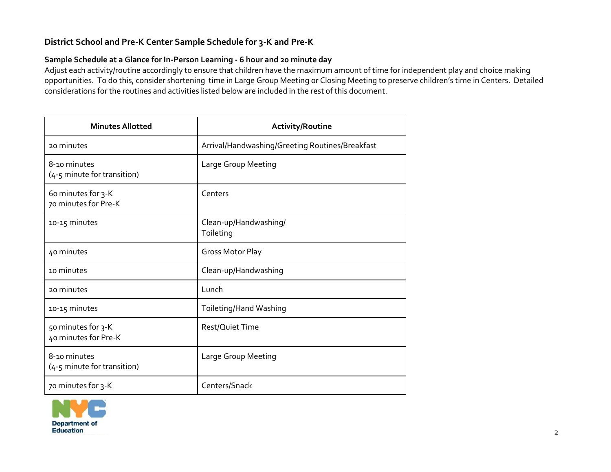# <span id="page-1-0"></span>**District School and Pre-K Center Sample Schedule for 3-K and Pre-K**

## **Sample Schedule at a Glance for In-Person Learning - 6 hour and 20 minute day**

Adjust each activity/routine accordingly to ensure that children have the maximum amount of time for independent play and choice making opportunities. To do this, consider shortening time in Large Group Meeting or Closing Meeting to preserve children's time in Centers. Detailed considerations for the routines and activities listed below are included in the rest of this document.

| <b>Minutes Allotted</b>                     | <b>Activity/Routine</b>                         |
|---------------------------------------------|-------------------------------------------------|
| 20 minutes                                  | Arrival/Handwashing/Greeting Routines/Breakfast |
| 8-10 minutes<br>(4-5 minute for transition) | Large Group Meeting                             |
| 60 minutes for 3-K<br>70 minutes for Pre-K  | Centers                                         |
| 10-15 minutes                               | Clean-up/Handwashing/<br>Toileting              |
| 40 minutes                                  | <b>Gross Motor Play</b>                         |
| 10 minutes                                  | Clean-up/Handwashing                            |
| 20 minutes                                  | Lunch                                           |
| 10-15 minutes                               | Toileting/Hand Washing                          |
| 50 minutes for 3-K<br>40 minutes for Pre-K  | Rest/Quiet Time                                 |
| 8-10 minutes<br>(4-5 minute for transition) | Large Group Meeting                             |
| 70 minutes for 3-K                          | Centers/Snack                                   |

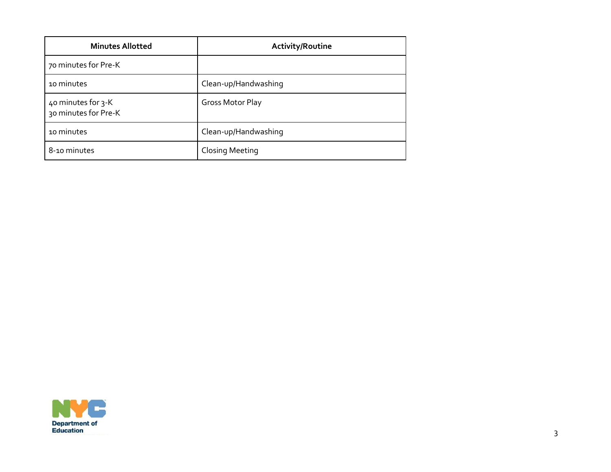| <b>Minutes Allotted</b>                    | <b>Activity/Routine</b> |
|--------------------------------------------|-------------------------|
| 70 minutes for Pre-K                       |                         |
| 10 minutes                                 | Clean-up/Handwashing    |
| 40 minutes for 3-K<br>30 minutes for Pre-K | Gross Motor Play        |
| 10 minutes                                 | Clean-up/Handwashing    |
| 8-10 minutes                               | <b>Closing Meeting</b>  |

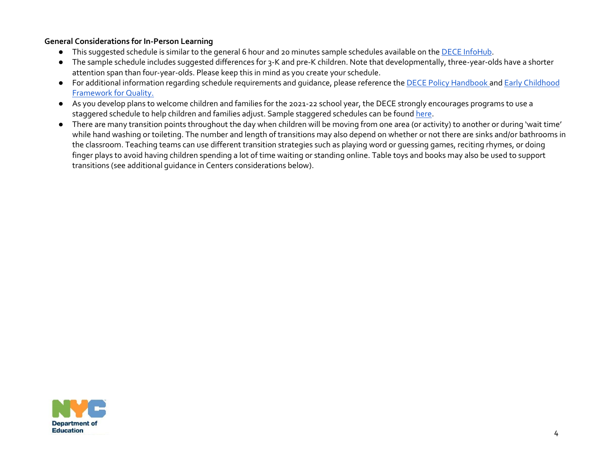### <span id="page-3-0"></span>**General Considerations for In-Person Learning**

- This suggested schedule is similar to the general 6 hour and 20 minutes sample schedules available on th[e DECE InfoHub.](https://infohub.nyced.org/working-with-the-doe/early-childhood/early-childhood-educators/supporting-quality-care-and-instruction/beginning-the-year)
- The sample schedule includes suggested differences for 3-K and pre-K children. Note that developmentally, three-year-olds have a shorter attention span than four-year-olds. Please keep this in mind as you create your schedule.
- For additional information regarding schedule requirements and guidance, please reference the [DECE Policy Handbook](https://infohub.nyced.org/docs/default-source/default-document-library/3kforall_and_prekforalll_nyceec_policy_handbook_2018.pdf?sfvrsn=2849aa97_2) an[d Early Childhood](https://infohub.nyced.org/working-with-the-doe/early-childhood/early-childhood-educators#jump-to-heading-23)  [Framework for Quality.](https://infohub.nyced.org/working-with-the-doe/early-childhood/early-childhood-educators#jump-to-heading-23)
- As you develop plans to welcome children and families for the 2021-22 school year, the DECE strongly encourages programs to use a staggered schedule to help children and families adjust. Sample staggered schedules can be found [here.](https://infohub.nyced.org/working-with-the-doe/early-childhood/early-childhood-educators/supporting-quality-care-and-instruction/beginning-the-year)
- There are many transition points throughout the day when children will be moving from one area (or activity) to another or during 'wait time' while hand washing or toileting. The number and length of transitions may also depend on whether or not there are sinks and/or bathrooms in the classroom. Teaching teams can use different transition strategies such as playing word or guessing games, reciting rhymes, or doing finger plays to avoid having children spending a lot of time waiting or standing online. Table toys and books may also be used to support transitions (see additional guidance in Centers considerations below).

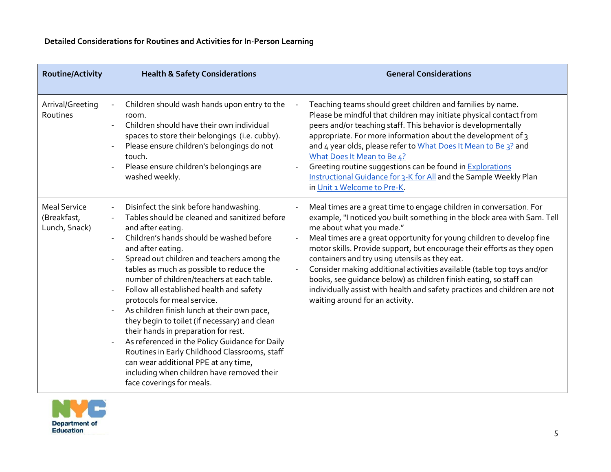<span id="page-4-0"></span>

| <b>Routine/Activity</b>                             | <b>Health &amp; Safety Considerations</b>                                                                                                                                                                                                                                                                                                                                                                                                                                                                                                                                                                                                                                                                                                                                                                                      | <b>General Considerations</b>                                                                                                                                                                                                                                                                                                                                                                                                                                                                                                                                                                                                                                       |
|-----------------------------------------------------|--------------------------------------------------------------------------------------------------------------------------------------------------------------------------------------------------------------------------------------------------------------------------------------------------------------------------------------------------------------------------------------------------------------------------------------------------------------------------------------------------------------------------------------------------------------------------------------------------------------------------------------------------------------------------------------------------------------------------------------------------------------------------------------------------------------------------------|---------------------------------------------------------------------------------------------------------------------------------------------------------------------------------------------------------------------------------------------------------------------------------------------------------------------------------------------------------------------------------------------------------------------------------------------------------------------------------------------------------------------------------------------------------------------------------------------------------------------------------------------------------------------|
| Arrival/Greeting<br>Routines                        | Children should wash hands upon entry to the<br>room.<br>Children should have their own individual<br>spaces to store their belongings (i.e. cubby).<br>Please ensure children's belongings do not<br>touch.<br>Please ensure children's belongings are<br>washed weekly.                                                                                                                                                                                                                                                                                                                                                                                                                                                                                                                                                      | Teaching teams should greet children and families by name.<br>Please be mindful that children may initiate physical contact from<br>peers and/or teaching staff. This behavior is developmentally<br>appropriate. For more information about the development of 3<br>and 4 year olds, please refer to What Does It Mean to Be 3? and<br>What Does It Mean to Be 4?<br>Greeting routine suggestions can be found in Explorations<br>$\overline{\phantom{a}}$<br>Instructional Guidance for 3-K for All and the Sample Weekly Plan<br>in Unit 1 Welcome to Pre-K.                                                                                                     |
| <b>Meal Service</b><br>(Breakfast,<br>Lunch, Snack) | Disinfect the sink before handwashing.<br>Tables should be cleaned and sanitized before<br>and after eating.<br>Children's hands should be washed before<br>$\overline{a}$<br>and after eating.<br>Spread out children and teachers among the<br>tables as much as possible to reduce the<br>number of children/teachers at each table.<br>Follow all established health and safety<br>$\overline{\phantom{a}}$<br>protocols for meal service.<br>As children finish lunch at their own pace,<br>they begin to toilet (if necessary) and clean<br>their hands in preparation for rest.<br>As referenced in the Policy Guidance for Daily<br>$\blacksquare$<br>Routines in Early Childhood Classrooms, staff<br>can wear additional PPE at any time,<br>including when children have removed their<br>face coverings for meals. | Meal times are a great time to engage children in conversation. For<br>example, "I noticed you built something in the block area with Sam. Tell<br>me about what you made."<br>Meal times are a great opportunity for young children to develop fine<br>$\overline{a}$<br>motor skills. Provide support, but encourage their efforts as they open<br>containers and try using utensils as they eat.<br>Consider making additional activities available (table top toys and/or<br>books, see quidance below) as children finish eating, so staff can<br>individually assist with health and safety practices and children are not<br>waiting around for an activity. |

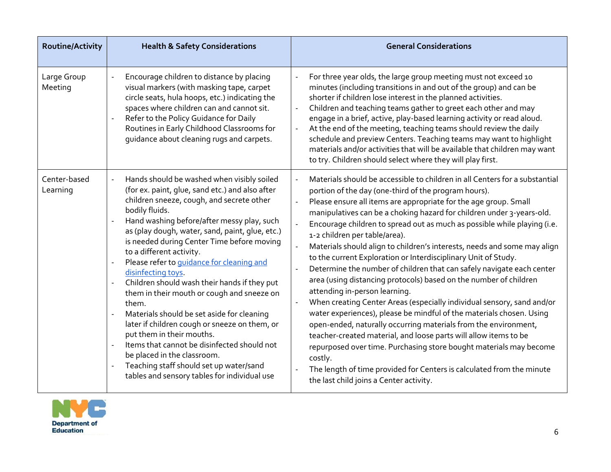| <b>Routine/Activity</b>  | <b>Health &amp; Safety Considerations</b>                                                                                                                                                                                                                                                                                                                                                                                                                                                                                                                                                                                                                                                                                                                                                                                                                            | <b>General Considerations</b>                                                                                                                                                                                                                                                                                                                                                                                                                                                                                                                                                                                                                                                                                                                                                                                                                                                                                                                                                                                                                                                                                                                                                                                                                                      |
|--------------------------|----------------------------------------------------------------------------------------------------------------------------------------------------------------------------------------------------------------------------------------------------------------------------------------------------------------------------------------------------------------------------------------------------------------------------------------------------------------------------------------------------------------------------------------------------------------------------------------------------------------------------------------------------------------------------------------------------------------------------------------------------------------------------------------------------------------------------------------------------------------------|--------------------------------------------------------------------------------------------------------------------------------------------------------------------------------------------------------------------------------------------------------------------------------------------------------------------------------------------------------------------------------------------------------------------------------------------------------------------------------------------------------------------------------------------------------------------------------------------------------------------------------------------------------------------------------------------------------------------------------------------------------------------------------------------------------------------------------------------------------------------------------------------------------------------------------------------------------------------------------------------------------------------------------------------------------------------------------------------------------------------------------------------------------------------------------------------------------------------------------------------------------------------|
| Large Group<br>Meeting   | Encourage children to distance by placing<br>visual markers (with masking tape, carpet<br>circle seats, hula hoops, etc.) indicating the<br>spaces where children can and cannot sit.<br>Refer to the Policy Guidance for Daily<br>$\overline{a}$<br>Routines in Early Childhood Classrooms for<br>guidance about cleaning rugs and carpets.                                                                                                                                                                                                                                                                                                                                                                                                                                                                                                                         | For three year olds, the large group meeting must not exceed 10<br>$\overline{a}$<br>minutes (including transitions in and out of the group) and can be<br>shorter if children lose interest in the planned activities.<br>Children and teaching teams gather to greet each other and may<br>$\blacksquare$<br>engage in a brief, active, play-based learning activity or read aloud.<br>At the end of the meeting, teaching teams should review the daily<br>$\Box$<br>schedule and preview Centers. Teaching teams may want to highlight<br>materials and/or activities that will be available that children may want<br>to try. Children should select where they will play first.                                                                                                                                                                                                                                                                                                                                                                                                                                                                                                                                                                              |
| Center-based<br>Learning | Hands should be washed when visibly soiled<br>(for ex. paint, glue, sand etc.) and also after<br>children sneeze, cough, and secrete other<br>bodily fluids.<br>Hand washing before/after messy play, such<br>as (play dough, water, sand, paint, glue, etc.)<br>is needed during Center Time before moving<br>to a different activity.<br>Please refer to guidance for cleaning and<br>$\overline{a}$<br>disinfecting toys.<br>Children should wash their hands if they put<br>them in their mouth or cough and sneeze on<br>them.<br>Materials should be set aside for cleaning<br>$\overline{\phantom{a}}$<br>later if children cough or sneeze on them, or<br>put them in their mouths.<br>Items that cannot be disinfected should not<br>be placed in the classroom.<br>Teaching staff should set up water/sand<br>tables and sensory tables for individual use | Materials should be accessible to children in all Centers for a substantial<br>÷,<br>portion of the day (one-third of the program hours).<br>Please ensure all items are appropriate for the age group. Small<br>$\overline{a}$<br>manipulatives can be a choking hazard for children under 3-years-old.<br>Encourage children to spread out as much as possible while playing (i.e.<br>$\overline{a}$<br>1-2 children per table/area).<br>Materials should align to children's interests, needs and some may align<br>to the current Exploration or Interdisciplinary Unit of Study.<br>Determine the number of children that can safely navigate each center<br>area (using distancing protocols) based on the number of children<br>attending in-person learning.<br>When creating Center Areas (especially individual sensory, sand and/or<br>water experiences), please be mindful of the materials chosen. Using<br>open-ended, naturally occurring materials from the environment,<br>teacher-created material, and loose parts will allow items to be<br>repurposed over time. Purchasing store bought materials may become<br>costly.<br>The length of time provided for Centers is calculated from the minute<br>the last child joins a Center activity. |

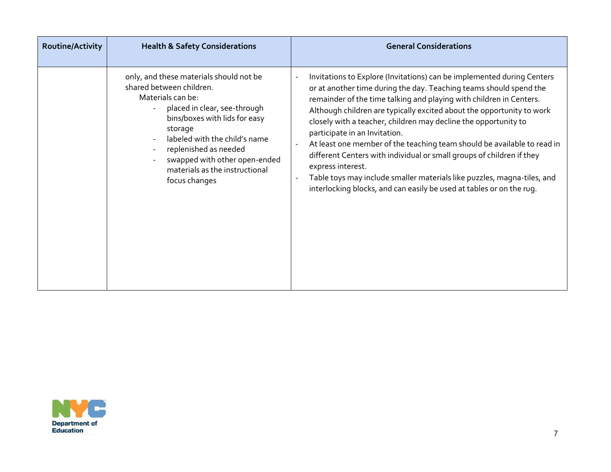| Routine/Activity | <b>Health &amp; Safety Considerations</b>                                                                                                                                                                                                                                                                          | <b>General Considerations</b>                                                                                                                                                                                                                                                                                                                                                                                                                                                                                                                                                                                                                                                                                                |
|------------------|--------------------------------------------------------------------------------------------------------------------------------------------------------------------------------------------------------------------------------------------------------------------------------------------------------------------|------------------------------------------------------------------------------------------------------------------------------------------------------------------------------------------------------------------------------------------------------------------------------------------------------------------------------------------------------------------------------------------------------------------------------------------------------------------------------------------------------------------------------------------------------------------------------------------------------------------------------------------------------------------------------------------------------------------------------|
|                  | only, and these materials should not be<br>shared between children.<br>Materials can be:<br>placed in clear, see-through<br>bins/boxes with lids for easy<br>storage<br>labeled with the child's name<br>replenished as needed<br>swapped with other open-ended<br>materials as the instructional<br>focus changes | Invitations to Explore (Invitations) can be implemented during Centers<br>or at another time during the day. Teaching teams should spend the<br>remainder of the time talking and playing with children in Centers.<br>Although children are typically excited about the opportunity to work<br>closely with a teacher, children may decline the opportunity to<br>participate in an Invitation.<br>At least one member of the teaching team should be available to read in<br>different Centers with individual or small groups of children if they<br>express interest.<br>Table toys may include smaller materials like puzzles, magna-tiles, and<br>interlocking blocks, and can easily be used at tables or on the rug. |

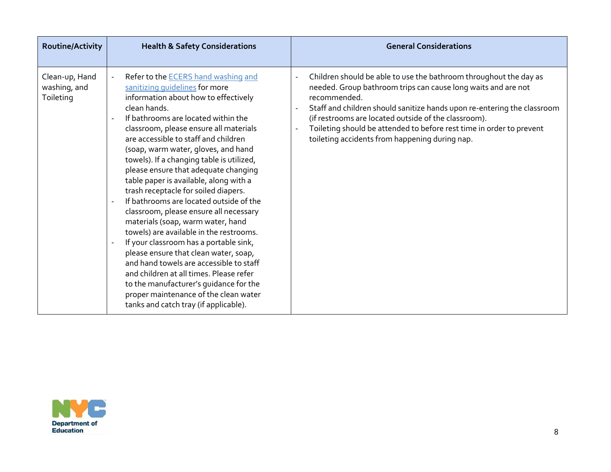| <b>Routine/Activity</b>                     | <b>Health &amp; Safety Considerations</b>                                                                                                                                                                                                                                                                                                                                                                                                                                                                                                                                                                                                                                                                                                                                                                                                                                                                                                                               | <b>General Considerations</b>                                                                                                                                                                                                                                                                                                                                                                                   |
|---------------------------------------------|-------------------------------------------------------------------------------------------------------------------------------------------------------------------------------------------------------------------------------------------------------------------------------------------------------------------------------------------------------------------------------------------------------------------------------------------------------------------------------------------------------------------------------------------------------------------------------------------------------------------------------------------------------------------------------------------------------------------------------------------------------------------------------------------------------------------------------------------------------------------------------------------------------------------------------------------------------------------------|-----------------------------------------------------------------------------------------------------------------------------------------------------------------------------------------------------------------------------------------------------------------------------------------------------------------------------------------------------------------------------------------------------------------|
| Clean-up, Hand<br>washing, and<br>Toileting | Refer to the <b>ECERS</b> hand washing and<br>sanitizing quidelines for more<br>information about how to effectively<br>clean hands.<br>If bathrooms are located within the<br>classroom, please ensure all materials<br>are accessible to staff and children<br>(soap, warm water, gloves, and hand<br>towels). If a changing table is utilized,<br>please ensure that adequate changing<br>table paper is available, along with a<br>trash receptacle for soiled diapers.<br>If bathrooms are located outside of the<br>classroom, please ensure all necessary<br>materials (soap, warm water, hand<br>towels) are available in the restrooms.<br>If your classroom has a portable sink,<br>$\blacksquare$<br>please ensure that clean water, soap,<br>and hand towels are accessible to staff<br>and children at all times. Please refer<br>to the manufacturer's guidance for the<br>proper maintenance of the clean water<br>tanks and catch tray (if applicable). | Children should be able to use the bathroom throughout the day as<br>needed. Group bathroom trips can cause long waits and are not<br>recommended.<br>Staff and children should sanitize hands upon re-entering the classroom<br>(if restrooms are located outside of the classroom).<br>Toileting should be attended to before rest time in order to prevent<br>toileting accidents from happening during nap. |

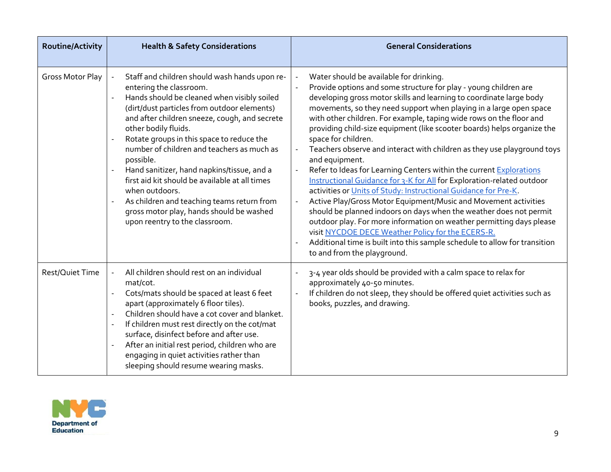| <b>Routine/Activity</b> | <b>Health &amp; Safety Considerations</b>                                                                                                                                                                                                                                                                                                                                                                                                                                                                                                                                                                                                      | <b>General Considerations</b>                                                                                                                                                                                                                                                                                                                                                                                                                                                                                                                                                                                                                                                                                                                                                                                                                                                                                                                                                                                                                                                                                                                                                                           |
|-------------------------|------------------------------------------------------------------------------------------------------------------------------------------------------------------------------------------------------------------------------------------------------------------------------------------------------------------------------------------------------------------------------------------------------------------------------------------------------------------------------------------------------------------------------------------------------------------------------------------------------------------------------------------------|---------------------------------------------------------------------------------------------------------------------------------------------------------------------------------------------------------------------------------------------------------------------------------------------------------------------------------------------------------------------------------------------------------------------------------------------------------------------------------------------------------------------------------------------------------------------------------------------------------------------------------------------------------------------------------------------------------------------------------------------------------------------------------------------------------------------------------------------------------------------------------------------------------------------------------------------------------------------------------------------------------------------------------------------------------------------------------------------------------------------------------------------------------------------------------------------------------|
| Gross Motor Play        | Staff and children should wash hands upon re-<br>entering the classroom.<br>Hands should be cleaned when visibly soiled<br>$\overline{a}$<br>(dirt/dust particles from outdoor elements)<br>and after children sneeze, cough, and secrete<br>other bodily fluids.<br>Rotate groups in this space to reduce the<br>number of children and teachers as much as<br>possible.<br>Hand sanitizer, hand napkins/tissue, and a<br>$\bar{\phantom{a}}$<br>first aid kit should be available at all times<br>when outdoors.<br>As children and teaching teams return from<br>gross motor play, hands should be washed<br>upon reentry to the classroom. | Water should be available for drinking.<br>Provide options and some structure for play - young children are<br>$\sim$<br>developing gross motor skills and learning to coordinate large body<br>movements, so they need support when playing in a large open space<br>with other children. For example, taping wide rows on the floor and<br>providing child-size equipment (like scooter boards) helps organize the<br>space for children.<br>Teachers observe and interact with children as they use playground toys<br>$\overline{\phantom{a}}$<br>and equipment.<br>Refer to Ideas for Learning Centers within the current Explorations<br>Instructional Guidance for 3-K for All for Exploration-related outdoor<br>activities or Units of Study: Instructional Guidance for Pre-K.<br>Active Play/Gross Motor Equipment/Music and Movement activities<br>$\overline{\phantom{a}}$<br>should be planned indoors on days when the weather does not permit<br>outdoor play. For more information on weather permitting days please<br>visit NYCDOE DECE Weather Policy for the ECERS-R.<br>Additional time is built into this sample schedule to allow for transition<br>to and from the playground. |
| Rest/Quiet Time         | All children should rest on an individual<br>mat/cot.<br>Cots/mats should be spaced at least 6 feet<br>apart (approximately 6 floor tiles).<br>Children should have a cot cover and blanket.<br>$\sim$<br>If children must rest directly on the cot/mat<br>surface, disinfect before and after use.<br>After an initial rest period, children who are<br>$\overline{\phantom{a}}$<br>engaging in quiet activities rather than<br>sleeping should resume wearing masks.                                                                                                                                                                         | 3-4 year olds should be provided with a calm space to relax for<br>approximately 40-50 minutes.<br>If children do not sleep, they should be offered quiet activities such as<br>books, puzzles, and drawing.                                                                                                                                                                                                                                                                                                                                                                                                                                                                                                                                                                                                                                                                                                                                                                                                                                                                                                                                                                                            |

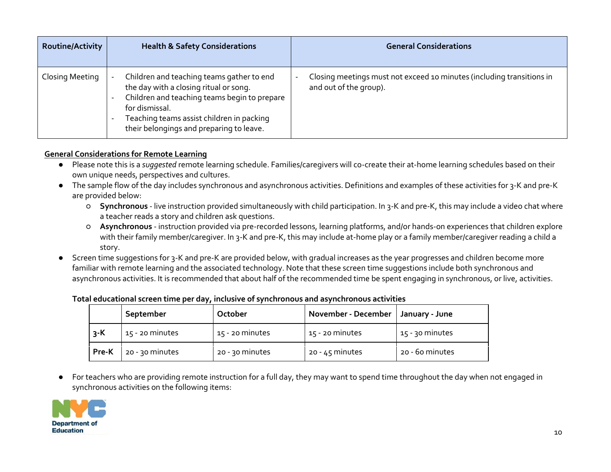| <b>Routine/Activity</b> | <b>Health &amp; Safety Considerations</b>                                                                                                                                                                                                      | <b>General Considerations</b>                                                                                               |
|-------------------------|------------------------------------------------------------------------------------------------------------------------------------------------------------------------------------------------------------------------------------------------|-----------------------------------------------------------------------------------------------------------------------------|
| Closing Meeting         | Children and teaching teams gather to end<br>the day with a closing ritual or song.<br>Children and teaching teams begin to prepare<br>for dismissal.<br>Teaching teams assist children in packing<br>their belongings and preparing to leave. | Closing meetings must not exceed 10 minutes (including transitions in<br>$\overline{\phantom{a}}$<br>and out of the group). |

## <span id="page-9-0"></span>**General Considerations for Remote Learning**

- Please note this is a *suggested* remote learning schedule. Families/caregivers will co-create their at-home learning schedules based on their own unique needs, perspectives and cultures.
- The sample flow of the day includes synchronous and asynchronous activities. Definitions and examples of these activities for 3-K and pre-K are provided below:
	- **Synchronous** live instruction provided simultaneously with child participation. In 3-K and pre-K, this may include a video chat where a teacher reads a story and children ask questions.
	- **Asynchronous** instruction provided via pre-recorded lessons, learning platforms, and/or hands-on experiences that children explore with their family member/caregiver. In 3-K and pre-K, this may include at-home play or a family member/caregiver reading a child a story.
- Screen time suggestions for 3-K and pre-K are provided below, with gradual increases as the year progresses and children become more familiar with remote learning and the associated technology. Note that these screen time suggestions include both synchronous and asynchronous activities. It is recommended that about half of the recommended time be spent engaging in synchronous, or live, activities.

|       | September       | October           | November - December   January - June |                   |
|-------|-----------------|-------------------|--------------------------------------|-------------------|
| $3-K$ | 15 - 20 minutes | $15 - 20$ minutes | 15 - 20 minutes                      | $15 - 30$ minutes |
| Pre-K | 20 - 30 minutes | 20 - 30 minutes   | $20 - 45$ minutes                    | 20 - 60 minutes   |

#### **Total educational screen time per day, inclusive of synchronous and asynchronous activities**

● For teachers who are providing remote instruction for a full day, they may want to spend time throughout the day when not engaged in synchronous activities on the following items:

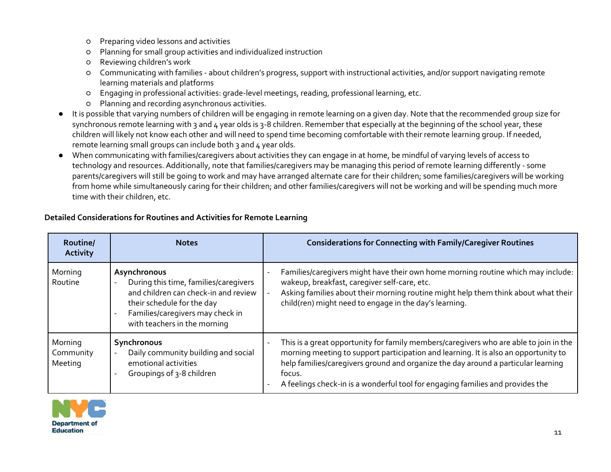- Preparing video lessons and activities
- Planning for small group activities and individualized instruction
- Reviewing children's work
- Communicating with families about children's progress, support with instructional activities, and/or support navigating remote learning materials and platforms
- Engaging in professional activities: grade-level meetings, reading, professional learning, etc.
- Planning and recording asynchronous activities.
- It is possible that varying numbers of children will be engaging in remote learning on a given day. Note that the recommended group size for synchronous remote learning with 3 and 4 year olds is 3-8 children. Remember that especially at the beginning of the school year, these children will likely not know each other and will need to spend time becoming comfortable with their remote learning group. If needed, remote learning small groups can include both 3 and 4 year olds.
- When communicating with families/caregivers about activities they can engage in at home, be mindful of varying levels of access to technology and resources. Additionally, note that families/caregivers may be managing this period of remote learning differently - some parents/caregivers will still be going to work and may have arranged alternate care for their children; some families/caregivers will be working from home while simultaneously caring for their children; and other families/caregivers will not be working and will be spending much more time with their children, etc.

| Routine/<br><b>Activity</b>     | <b>Notes</b>                                                                                                                                                                                    | <b>Considerations for Connecting with Family/Caregiver Routines</b>                                                                                                                                                                                                                                                                                           |
|---------------------------------|-------------------------------------------------------------------------------------------------------------------------------------------------------------------------------------------------|---------------------------------------------------------------------------------------------------------------------------------------------------------------------------------------------------------------------------------------------------------------------------------------------------------------------------------------------------------------|
| Morning<br>Routine              | Asynchronous<br>During this time, families/caregivers<br>and children can check-in and review<br>their schedule for the day<br>Families/caregivers may check in<br>with teachers in the morning | Families/caregivers might have their own home morning routine which may include:<br>wakeup, breakfast, caregiver self-care, etc.<br>Asking families about their morning routine might help them think about what their<br>child(ren) might need to engage in the day's learning.                                                                              |
| Morning<br>Community<br>Meeting | Synchronous<br>Daily community building and social<br>emotional activities<br>Groupings of 3-8 children                                                                                         | This is a great opportunity for family members/caregivers who are able to join in the<br>morning meeting to support participation and learning. It is also an opportunity to<br>help families/caregivers ground and organize the day around a particular learning<br>focus.<br>A feelings check-in is a wonderful tool for engaging families and provides the |

# <span id="page-10-0"></span>**Detailed Considerations for Routines and Activities for Remote Learning**

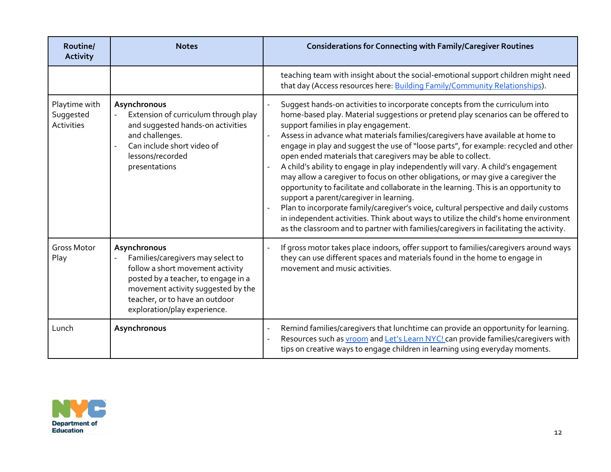| Routine/<br><b>Activity</b>              | <b>Notes</b>                                                                                                                                                                                                                         | <b>Considerations for Connecting with Family/Caregiver Routines</b>                                                                                                                                                                                                                                                                                                                                                                                                                                                                                                                                                                                                                                                                                                                                                                                                                                                                                                                                                                      |
|------------------------------------------|--------------------------------------------------------------------------------------------------------------------------------------------------------------------------------------------------------------------------------------|------------------------------------------------------------------------------------------------------------------------------------------------------------------------------------------------------------------------------------------------------------------------------------------------------------------------------------------------------------------------------------------------------------------------------------------------------------------------------------------------------------------------------------------------------------------------------------------------------------------------------------------------------------------------------------------------------------------------------------------------------------------------------------------------------------------------------------------------------------------------------------------------------------------------------------------------------------------------------------------------------------------------------------------|
|                                          |                                                                                                                                                                                                                                      | teaching team with insight about the social-emotional support children might need<br>that day (Access resources here: Building Family/Community Relationships).                                                                                                                                                                                                                                                                                                                                                                                                                                                                                                                                                                                                                                                                                                                                                                                                                                                                          |
| Playtime with<br>Suggested<br>Activities | Asynchronous<br>Extension of curriculum through play<br>$\sim$<br>and suggested hands-on activities<br>and challenges.<br>Can include short video of<br>$\overline{a}$<br>lessons/recorded<br>presentations                          | Suggest hands-on activities to incorporate concepts from the curriculum into<br>home-based play. Material suggestions or pretend play scenarios can be offered to<br>support families in play engagement.<br>Assess in advance what materials families/caregivers have available at home to<br>engage in play and suggest the use of "loose parts", for example: recycled and other<br>open ended materials that caregivers may be able to collect.<br>A child's ability to engage in play independently will vary. A child's engagement<br>may allow a caregiver to focus on other obligations, or may give a caregiver the<br>opportunity to facilitate and collaborate in the learning. This is an opportunity to<br>support a parent/caregiver in learning.<br>Plan to incorporate family/caregiver's voice, cultural perspective and daily customs<br>in independent activities. Think about ways to utilize the child's home environment<br>as the classroom and to partner with families/caregivers in facilitating the activity. |
| <b>Gross Motor</b><br>Play               | Asynchronous<br>Families/caregivers may select to<br>follow a short movement activity<br>posted by a teacher, to engage in a<br>movement activity suggested by the<br>teacher, or to have an outdoor<br>exploration/play experience. | If gross motor takes place indoors, offer support to families/caregivers around ways<br>they can use different spaces and materials found in the home to engage in<br>movement and music activities.                                                                                                                                                                                                                                                                                                                                                                                                                                                                                                                                                                                                                                                                                                                                                                                                                                     |
| Lunch                                    | Asynchronous                                                                                                                                                                                                                         | Remind families/caregivers that lunchtime can provide an opportunity for learning.<br>Resources such as <b>vroom</b> and Let's Learn NYC! can provide families/caregivers with<br>tips on creative ways to engage children in learning using everyday moments.                                                                                                                                                                                                                                                                                                                                                                                                                                                                                                                                                                                                                                                                                                                                                                           |